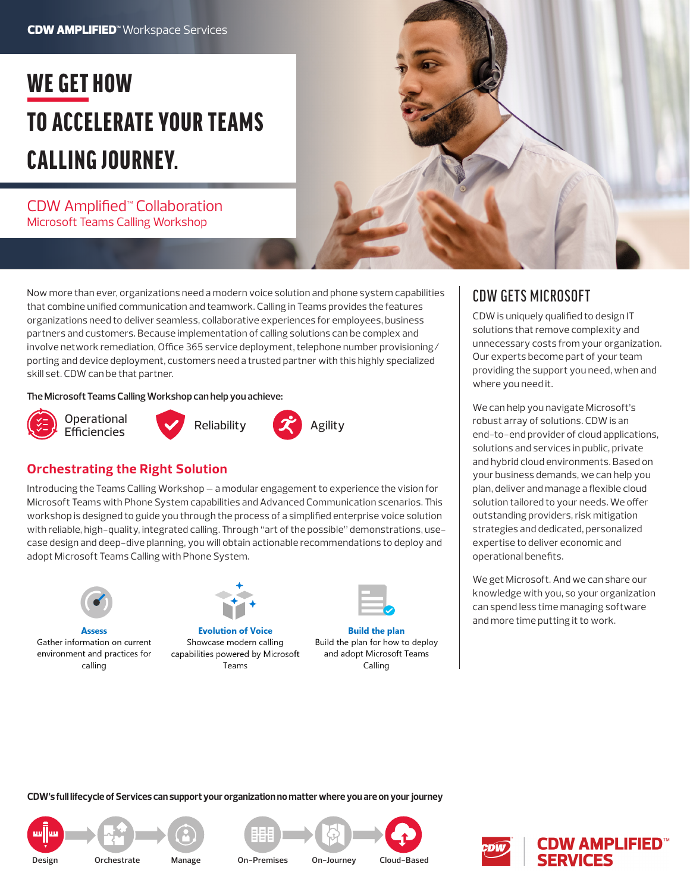# WE GET HOW TO ACCELERATE YOUR TEAMS CALLING JOURNEY.

## CDW Amplified™ Collaboration Microsoft Teams Calling Workshop

Now more than ever, organizations need a modern voice solution and phone system capabilities that combine unified communication and teamwork. Calling in Teams provides the features organizations need to deliver seamless, collaborative experiences for employees, business partners and customers. Because implementation of calling solutions can be complex and involve network remediation, Office 365 service deployment, telephone number provisioning/ porting and device deployment, customers need a trusted partner with this highly specialized skill set. CDW can be that partner.

#### **The Microsoft Teams Calling Workshop can help you achieve:**









## **Orchestrating the Right Solution**

Introducing the Teams Calling Workshop – a modular engagement to experience the vision for Microsoft Teams with Phone System capabilities and Advanced Communication scenarios. This workshop is designed to guide you through the process of a simplified enterprise voice solution with reliable, high-quality, integrated calling. Through "art of the possible" demonstrations, usecase design and deep-dive planning, you will obtain actionable recommendations to deploy and adopt Microsoft Teams Calling with Phone System.



**Assess** Gather information on current environment and practices for calling



**Evolution of Voice** Showcase modern calling capabilities powered by Microsoft Teams



**Build the plan** Build the plan for how to deploy and adopt Microsoft Teams Calling

## CDW GETS MICROSOFT

CDW is uniquely qualified to design IT solutions that remove complexity and unnecessary costs from your organization. Our experts become part of your team providing the support you need, when and where you need it.

We can help you navigate Microsoft's robust array of solutions. CDW is an end-to-end provider of cloud applications, solutions and services in public, private and hybrid cloud environments. Based on your business demands, we can help you plan, deliver and manage a flexible cloud solution tailored to your needs. We offer outstanding providers, risk mitigation strategies and dedicated, personalized expertise to deliver economic and operational benefits.

We get Microsoft. And we can share our knowledge with you, so your organization can spend less time managing software and more time putting it to work.

**CDW's full lifecycle of Services can support your organization no matter where you are on your journey**